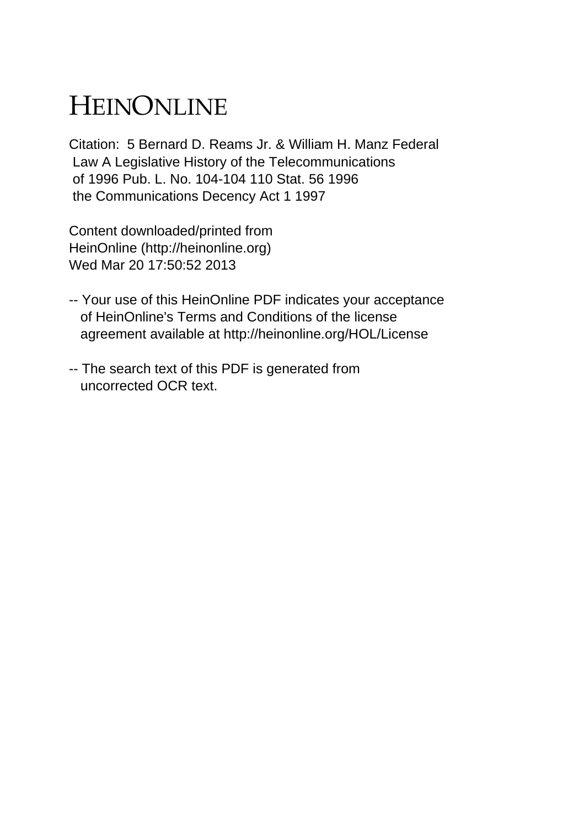## HEINONLINE

Citation: 5 Bernard D. Reams Jr. & William H. Manz Federal Law A Legislative History of the Telecommunications of 1996 Pub. L. No. 104-104 110 Stat. 56 1996 the Communications Decency Act 1 1997

Content downloaded/printed from HeinOnline (http://heinonline.org) Wed Mar 20 17:50:52 2013

- -- Your use of this HeinOnline PDF indicates your acceptance of HeinOnline's Terms and Conditions of the license agreement available at http://heinonline.org/HOL/License
- -- The search text of this PDF is generated from uncorrected OCR text.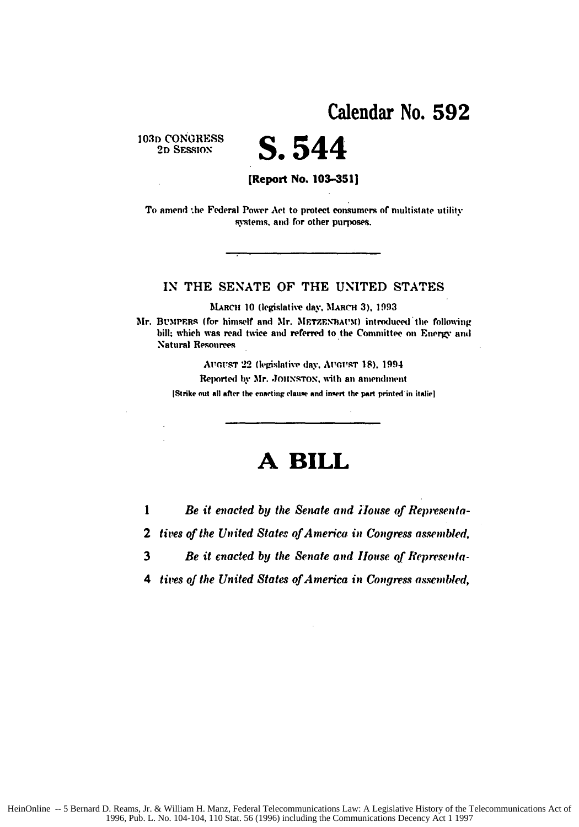103D CONGRESS 2D SESSION

S.544 [Report No. 103-351]

To amend the Federal Power Act to protect consumers of multistate utility systems, and for other purposes.

## IN THE SENATE OF THE UNITED STATES

MARCH 10 (legislative day, MARCH 3), 1993

Mr. BUMPERS (for himself and Mr. METZENBAUM) introduced the following bill; which was read twice and referred to the Committee on Energy and **Natural Resources** 

> AUGUST 22 (legislative day, AUGUST 18), 1994 Reported by Mr. JOHNSTON, with an amendment

[Strike out all after the enacting clause and insert the part printed in italic]

## A BILL

 $\mathbf{1}$ Be it enacted by the Senate and House of Representa-

2 tives of the United States of America in Congress assembled,

3 Be it enacted by the Senate and House of Representa-

4 tives of the United States of America in Congress assembled,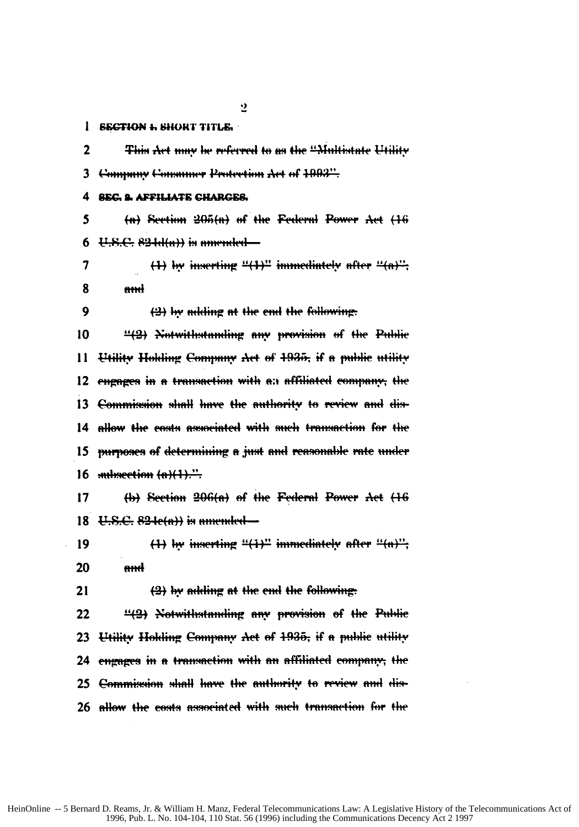$\overline{2}$ 

## 1 SECTION 1. SHORT TITLE.

 $\mathbf{r}$ This Act may be referred to as the "Multistate Utility Company Consumer Protection Act of 1993". 3 **SEC. 2. AFFILIATE CHARGES.** 4

5  $(a)$  Section  $205(a)$  of the Federal Power Act  $(16)$  $U.S.C. 824d(n))$  is amended  $-$ 6

 $(1)$  by inserting " $(1)$ " immediately after " $(a)$ ". 7 8 and

 $\mathbf Q$ 

(2) by adding at the end the following.

10 "(2) Notwithstanding any provision of the Public Utility Holding Company Act of 1935, if a public utility 11 engages in a transaction with an affiliated company, the 12 13 Commission shall have the authority to review and dis-14 allow the costs associated with such transaction for the 15 purposes of determining a just and reasonable rate under  $16$  subsection  $(n)(1)$ ."

 $17$ (b) Section 206(a) of the Federal Power Act (16 18  $E, S, C, 824e(a)$  is amended  $-$ 

 $(1)$  by inserting " $(1)$ " immediately after " $(n)$ "; 19 20 <del>and</del>

(2) by adding at the end the following:  $21$ 

22 "(2) Notwithstanding any provision of the Public 23 Utility Holding Company Act of 1935, if a public utility 24 engages in a transaction with an affiliated company, the 25 <del>Commission shall have the authority to review and dis-</del> 26 <del>allow the costs associa</del>te<del>d with such transaction for the</del>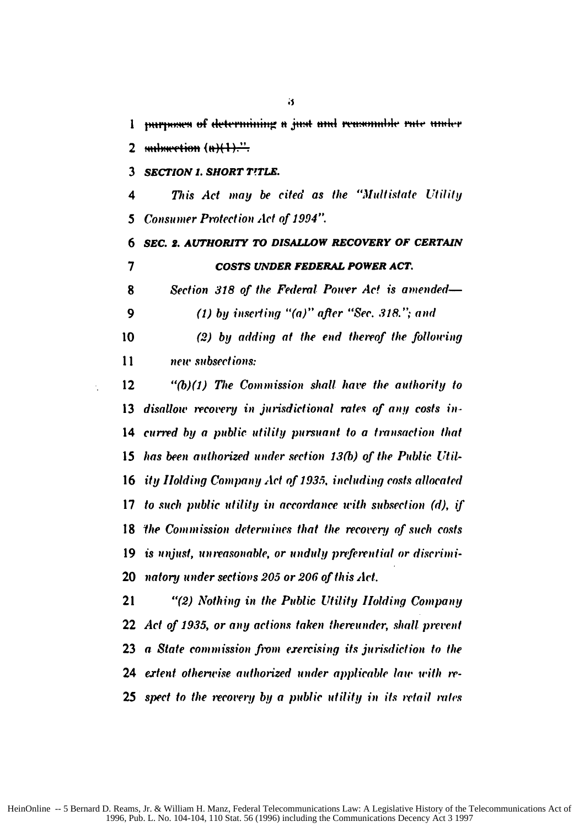1 mirroses of determining a just and reasonable rate under 2 *mineration*  $(n)$ 

*SECTION 1. SHORT TfTLE.*

*This Act* may be cited as the "Multistate Utility *Consumer Protection* Act *of* 1994'"

**SEC.** *2. AUTHORITY TO DISALLOW RECOVERY OF CERTAIN COSTS UNDER FEDERAL POWER ACT.*

Section *318 of* the Federal Powr Ac! is *amended-*

**(1) by** *inserting* "(a)" after "Sec. *3)8." and*

(2) **by** adding *at* the end thereof the following new subsections:

**"(b)(1)** The Commission *shall have* the authority to 13 disallow recovery in jurisdictional rates of any costs in-curred **by** a public utility pursuant to a transaction that has been authorized under section **13(b)** of the Public Uti-ity Holding Company *Act* **qf 1935.** *including costs allocated* to such public utility *in* accordance with subsection *(d),* if *the Commission determines that the recovery of such costs* 19 is unjust, unreasonable, or unduly preferential or discrimi-natory under sections 205 or 206 of this Act.

"(2) Nothing in the Public Utility Holding *Company* **Act** of **1935,** or any actions taken *thereunder,* shall prevent a State commission *from exercising* its jurisdiction to the ertent otherw'ise auttorized under applicable **law uwith** re-spect to the *recotery* **by** a public *utility* in its retail rates

 $\ddot{\bullet}$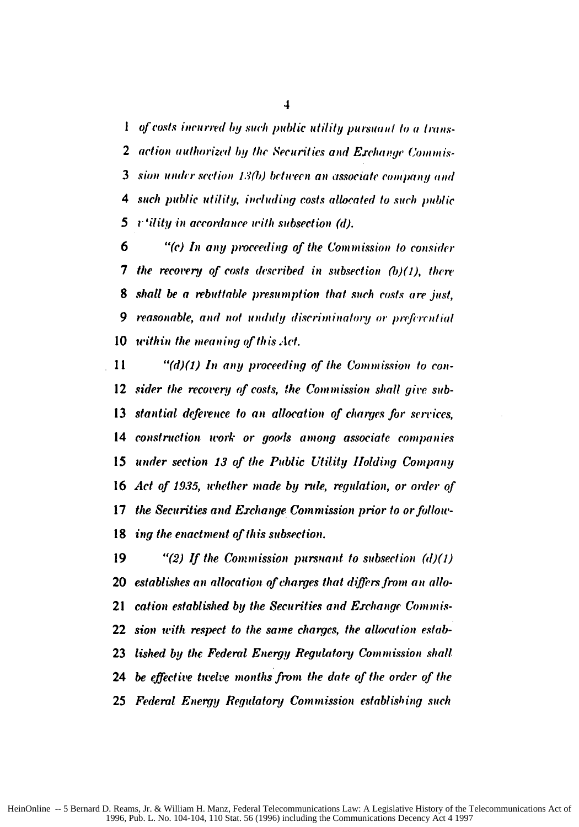$\overline{\mathbf{1}}$ 

**I** *of costs incurred by such public utility pursuant to a trans-*2 action authorized by the Securities and Exchange Commis-**<sup>3</sup>sire** *undr* section *.'M() between an* associate *company* **mid** 4 such public utility, including *costs* allocated **to** such public *5* r 'ility *in* accordance *with* subsection (d).

**6** • "(c) In any proceeding of the Commission to consider 7 the recovery of costs described in subsection *(b)(1),* there 8 shall be a rebuttable presumption that such costs are just, 9 reasonable, and not unduly discriminatory or *preferential* **10** w'ithin the meaning of th *is* Act.

**I I "(d)(1)** *In any* proceeding of the Commission to con-12 *sider* the recovery *of* costs, the Commission shall give sub-13 stantial deference to an allocation of charges for services, 14 construction work or goods among associate companies 15 under section 13 of the Public Utility *IIolding* Company 16 Act of 1935, whether made by rule, regulation, or order of 17 the Securities and Exchange *Commission* prior to or follow. **18** ing the enactment of this subsection.

"(2) If the Commission pursuant to subsection *(d)(1)* establishes **an** allocation of charges that differs from **an** allo-cation established **by** the Securities and Exchange Commis-sion with respect to the same charges, the allocation estab-lished **by** the Federal Energy Regulatory Commission shall 24 be effective twelve months from the date of the order of the Federal Energy Regulatory Commission establishing such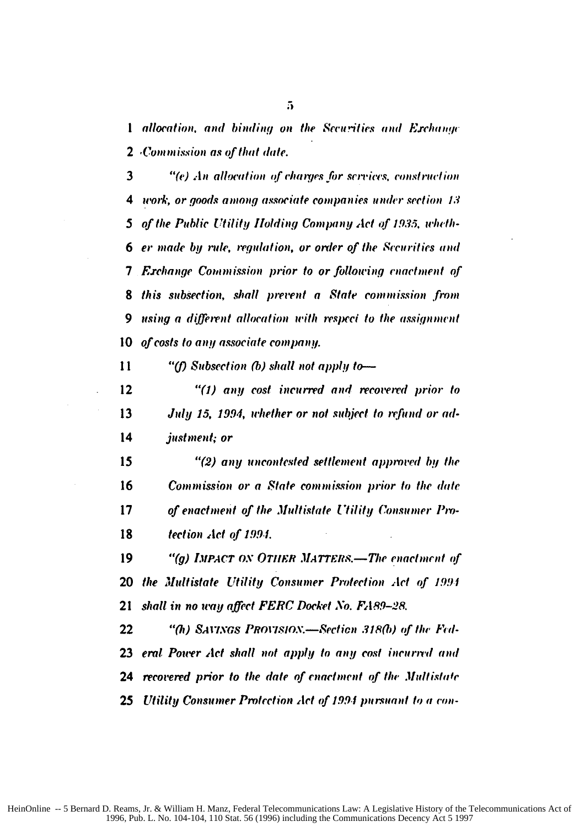1 allocation, and binding on the Securities and Exchange 2 Commission as of that date.

3 "(e) An allocation of charges for services, construction 4 work, or goods among associate companies under section 13 5 of the Public Utility Holding Company Act of 1935, wheth-6 er made by rule, regulation, or order of the Scourities and **7** Exchange Commission prior to or following enactment of 8 this subsection, shall prevent a State commission from using a different allocation with respect to the assignment 9 of costs to any associate company. 10

 $11$ "(f) Subsection (b) shall not apply to-

 $12$ "(1) any cost incurred and recovered prior to 13 July 15, 1994, whether or not subject to refund or ad-14 justment; or

15 "(2) any uncontested settlement approved by the 16 Commission or a State commission prior to the date of enactment of the Multistate Utility Consumer Pro-17 18 tection Act of 1994.

19 "(g) IMPACT ON OTHER MATTERS.—The enactment of the Multistate Utility Consumer Protection Act of 1994 20 shall in no way affect FERC Docket No. FA89-28. 21

22 "(h) SAVINGS PROVISION.—Section 318(b) of the Federal Power Act shall not apply to any cost incurred and 23 recovered prior to the date of enactment of the Multistate 24 25 Utility Consumer Protection Act of 1994 pursuant to a con-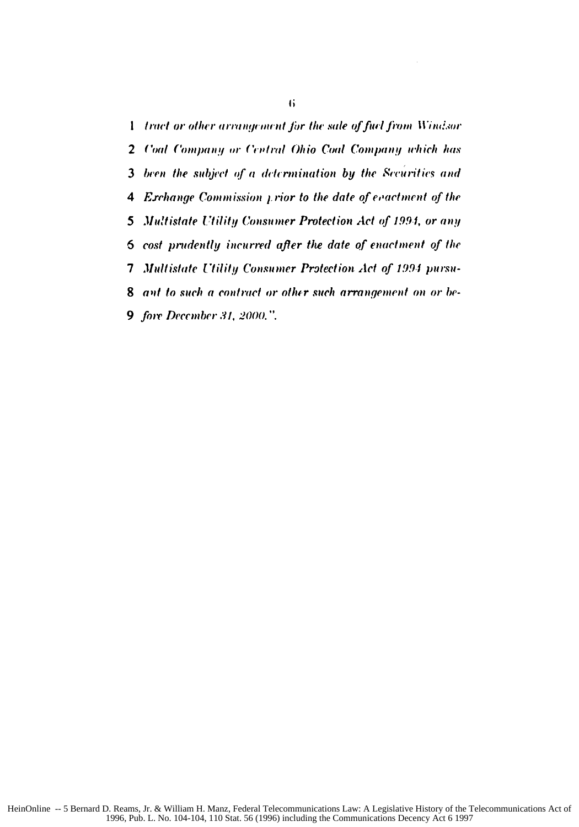1 tract or other arrangement for the sale of fuel from Windsor 2 Coal Company or Central Ohio Coal Company which has 3 been the subject of a determination by the Securities and 4 Exchange Commission *y* rior to the date of evactment of the Multistate Utility Consumer Protection Act of 1994, or any 5 cost prudently incurred after the date of enactment of the 6 Multistate Utility Consumer Protection Act of 1994 pursu- $7\phantom{.}$ 8 ant to such a contract or other such arrangement on or be-**9** fore December 31, 2000.".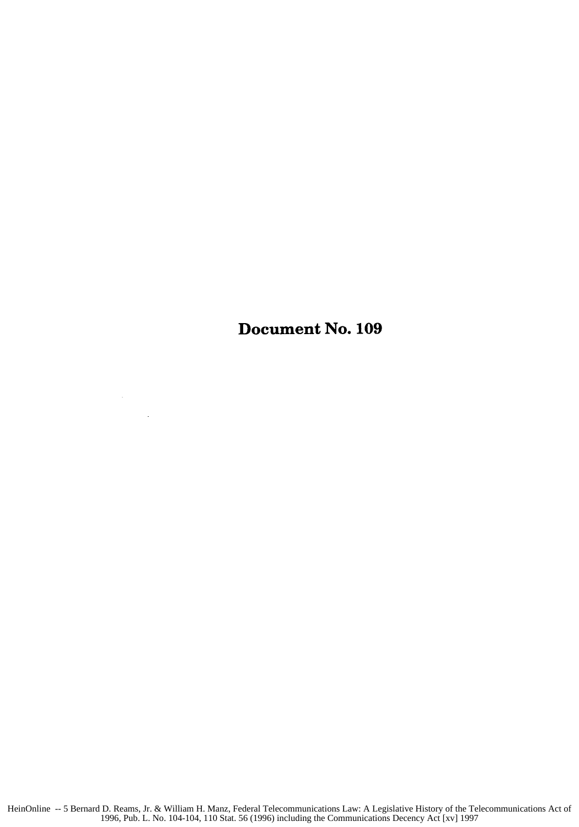Document No. **109**

 $\sim$   $\sim$